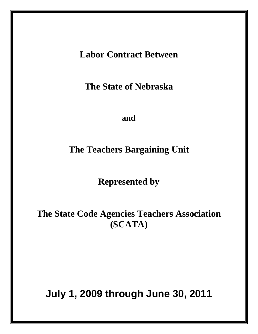**Labor Contract Between** 

**The State of Nebraska** 

**and** 

**The Teachers Bargaining Unit** 

**Represented by** 

**The State Code Agencies Teachers Association (SCATA)** 

**July 1, 2009 through June 30, 2011**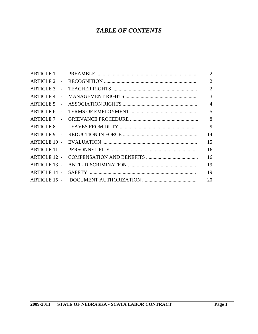# *TABLE OF CONTENTS*

|                     | 2              |
|---------------------|----------------|
|                     | $\overline{2}$ |
|                     | $\overline{2}$ |
|                     | 3              |
|                     | $\overline{4}$ |
|                     |                |
|                     | 8              |
|                     | 9              |
|                     | 14             |
|                     | 15             |
|                     | 16             |
| ARTICLE 12 -        | 16             |
| <b>ARTICLE 13 -</b> | 19             |
| ARTICLE 14 -        | 19             |
|                     | 20             |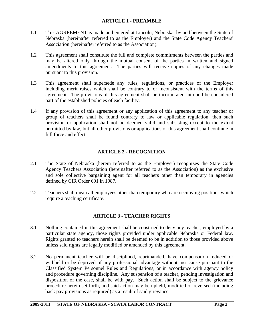## **ARTICLE 1 - PREAMBLE**

- 1.1 This AGREEMENT is made and entered at Lincoln, Nebraska, by and between the State of Nebraska (hereinafter referred to as the Employer) and the State Code Agency Teachers' Association (hereinafter referred to as the Association).
- 1.2 This agreement shall constitute the full and complete commitments between the parties and may be altered only through the mutual consent of the parties in written and signed amendments to this agreement. The parties will receive copies of any changes made pursuant to this provision.
- 1.3 This agreement shall supersede any rules, regulations, or practices of the Employer including merit raises which shall be contrary to or inconsistent with the terms of this agreement. The provisions of this agreement shall be incorporated into and be considered part of the established policies of each facility.
- 1.4 If any provision of this agreement or any application of this agreement to any teacher or group of teachers shall be found contrary to law or applicable regulation, then such provision or application shall not be deemed valid and subsisting except to the extent permitted by law, but all other provisions or applications of this agreement shall continue in full force and effect.

## **ARTICLE 2 - RECOGNITION**

- 2.1 The State of Nebraska (herein referred to as the Employer) recognizes the State Code Agency Teachers Association (hereinafter referred to as the Association) as the exclusive and sole collective bargaining agent for all teachers other than temporary in agencies defined by CIR Order 691 in 1987.
- 2.2 Teachers shall mean all employees other than temporary who are occupying positions which require a teaching certificate.

## **ARTICLE 3 - TEACHER RIGHTS**

- 3.1 Nothing contained in this agreement shall be construed to deny any teacher, employed by a particular state agency, those rights provided under applicable Nebraska or Federal law. Rights granted to teachers herein shall be deemed to be in addition to those provided above unless said rights are legally modified or amended by this agreement.
- 3.2 No permanent teacher will be disciplined, reprimanded, have compensation reduced or withheld or be deprived of any professional advantage without just cause pursuant to the Classified System Personnel Rules and Regulations, or in accordance with agency policy and procedure governing discipline. Any suspension of a teacher, pending investigation and disposition of the case, shall be with pay. Such action shall be subject to the grievance procedure herein set forth, and said action may be upheld, modified or reversed (including back pay provisions as required) as a result of said grievance.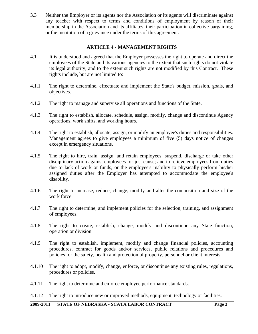3.3 Neither the Employer or its agents nor the Association or its agents will discriminate against any teacher with respect to terms and conditions of employment by reason of their membership in the Association and its affiliates, their participation in collective bargaining, or the institution of a grievance under the terms of this agreement.

#### **ARTICLE 4 - MANAGEMENT RIGHTS**

- 4.1 It is understood and agreed that the Employer possesses the right to operate and direct the employees of the State and its various agencies to the extent that such rights do not violate its legal authority, and to the extent such rights are not modified by this Contract. These rights include, but are not limited to:
- 4.1.1 The right to determine, effectuate and implement the State's budget, mission, goals, and objectives.
- 4.1.2 The right to manage and supervise all operations and functions of the State.
- 4.1.3 The right to establish, allocate, schedule, assign, modify, change and discontinue Agency operations, work shifts, and working hours.
- 4.1.4 The right to establish, allocate, assign, or modify an employee's duties and responsibilities. Management agrees to give employees a minimum of five (5) days notice of changes except in emergency situations.
- 4.1.5 The right to hire, train, assign, and retain employees; suspend, discharge or take other disciplinary action against employees for just cause; and to relieve employees from duties due to lack of work or funds, or the employee's inability to physically perform his/her assigned duties after the Employer has attempted to accommodate the employee's disability.
- 4.1.6 The right to increase, reduce, change, modify and alter the composition and size of the work force.
- 4.1.7 The right to determine, and implement policies for the selection, training, and assignment of employees.
- 4.1.8 The right to create, establish, change, modify and discontinue any State function, operation or division.
- 4.1.9 The right to establish, implement, modify and change financial policies, accounting procedures, contract for goods and/or services, public relations and procedures and policies for the safety, health and protection of property, personnel or client interests.
- 4.1.10 The right to adopt, modify, change, enforce, or discontinue any existing rules, regulations, procedures or policies.
- 4.1.11 The right to determine and enforce employee performance standards.

4.1.12 The right to introduce new or improved methods, equipment, technology or facilities.

## **2009-2011 STATE OF NEBRASKA - SCATA LABOR CONTRACT Page 3**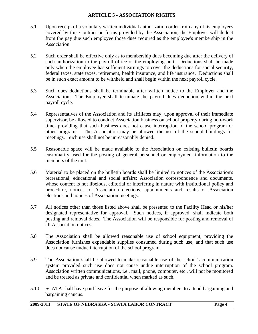## **ARTICLE 5 - ASSOCIATION RIGHTS**

- 5.1 Upon receipt of a voluntary written individual authorization order from any of its employees covered by this Contract on forms provided by the Association, the Employer will deduct from the pay due such employee those dues required as the employee's membership in the Association.
- 5.2 Such order shall be effective only as to membership dues becoming due after the delivery of such authorization to the payroll office of the employing unit. Deductions shall be made only when the employee has sufficient earnings to cover the deductions for social security, federal taxes, state taxes, retirement, health insurance, and life insurance. Deductions shall be in such exact amount to be withheld and shall begin within the next payroll cycle.
- 5.3 Such dues deductions shall be terminable after written notice to the Employer and the Association. The Employer shall terminate the payroll dues deduction within the next payroll cycle.
- 5.4 Representatives of the Association and its affiliates may, upon approval of their immediate supervisor, be allowed to conduct Association business on school property during non-work time, providing that such business does not cause interruption of the school program or other programs. The Association may be allowed the use of the school buildings for meetings. Such use shall not be unreasonably denied.
- 5.5 Reasonable space will be made available to the Association on existing bulletin boards customarily used for the posting of general personnel or employment information to the members of the unit.
- 5.6 Material to be placed on the bulletin boards shall be limited to notices of the Association's recreational, educational and social affairs; Association correspondence and documents, whose content is not libelous, editorial or interfering in nature with institutional policy and procedure, notices of Association elections, appointments and results of Association elections and notices of Association meetings.
- 5.7 All notices other than those listed above shall be presented to the Facility Head or his/her designated representative for approval. Such notices, if approved, shall indicate both posting and removal dates. The Association will be responsible for posting and removal of all Association notices.
- 5.8 The Association shall be allowed reasonable use of school equipment, providing the Association furnishes expendable supplies consumed during such use, and that such use does not cause undue interruption of the school program.
- 5.9 The Association shall be allowed to make reasonable use of the school's communication system provided such use does not cause undue interruption of the school program. Association written communications, i.e., mail, phone, computer, etc., will not be monitored and be treated as private and confidential when marked as such.
- 5.10 SCATA shall have paid leave for the purpose of allowing members to attend bargaining and bargaining caucus.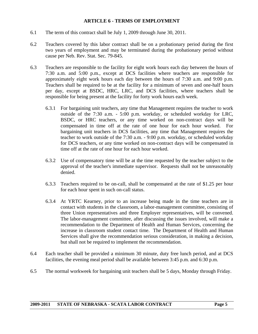#### **ARTICLE 6 - TERMS OF EMPLOYMENT**

- 6.1 The term of this contract shall be July 1, 2009 through June 30, 2011.
- 6.2 Teachers covered by this labor contract shall be on a probationary period during the first two years of employment and may be terminated during the probationary period without cause per Neb. Rev. Stat. Sec. 79-845.
- 6.3 Teachers are responsible to the facility for eight work hours each day between the hours of 7:30 a.m. and 5:00 p.m., except at DCS facilities where teachers are responsible for approximately eight work hours each day between the hours of 7:30 a.m. and 9:00 p.m. Teachers shall be required to be at the facility for a minimum of seven and one-half hours per day, except at BSDC, HRC, LRC, and DCS facilities, where teachers shall be responsible for being present at the facility for forty work hours each week.
	- 6.3.1 For bargaining unit teachers, any time that Management requires the teacher to work outside of the 7:30 a.m. - 5:00 p.m. workday, or scheduled workday for LRC, BSDC, or HRC teachers, or any time worked on non-contract days will be compensated in time off at the rate of one hour for each hour worked. For bargaining unit teachers in DCS facilities, any time that Management requires the teacher to work outside of the 7:30 a.m. - 9:00 p.m. workday, or scheduled workday for DCS teachers, or any time worked on non-contract days will be compensated in time off at the rate of one hour for each hour worked.
	- 6.3.2 Use of compensatory time will be at the time requested by the teacher subject to the approval of the teacher's immediate supervisor. Requests shall not be unreasonably denied.
	- 6.3.3 Teachers required to be on-call, shall be compensated at the rate of \$1.25 per hour for each hour spent in such on-call status.
	- 6.3.4 At YRTC Kearney, prior to an increase being made in the time teachers are in contact with students in the classroom, a labor-management committee, consisting of three Union representatives and three Employer representatives, will be convened. The labor-management committee, after discussing the issues involved, will make a recommendation to the Department of Health and Human Services, concerning the increase in classroom student contact time. The Department of Health and Human Services shall give the recommendation serious consideration, in making a decision, but shall not be required to implement the recommendation.
- 6.4 Each teacher shall be provided a minimum 30 minute, duty free lunch period, and at DCS facilities, the evening meal period shall be available between 3:45 p.m. and 6:30 p.m.
- 6.5 The normal workweek for bargaining unit teachers shall be 5 days, Monday through Friday.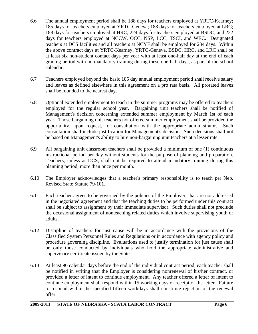- 6.6 The annual employment period shall be 188 days for teachers employed at YRTC-Kearney; 185 days for teachers employed at YRTC-Geneva; 188 days for teachers employed at LRC; 188 days for teachers employed at HRC; 224 days for teachers employed at BSDC; and 222 days for teachers employed at NCCW, OCC, NSP, LCC, TSCI, and WEC. Designated teachers at DCS facilities and all teachers at NCYF shall be employed for 234 days. Within the above contract days at YRTC-Kearney, YRTC-Geneva, BSDC, HRC, and LRC shall be at least six non-student contact days per year with at least one-half day at the end of each grading period with no mandatory training during these one-half days, as part of the school calendar.
- 6.7 Teachers employed beyond the basic 185 day annual employment period shall receive salary and leaves as defined elsewhere in this agreement on a pro rata basis. All prorated leaves shall be rounded to the nearest day.
- 6.8 Optional extended employment to teach in the summer programs may be offered to teachers employed for the regular school year. Bargaining unit teachers shall be notified of Management's decision concerning extended summer employment by March 1st of each year. Those bargaining unit teachers not offered summer employment shall be provided the opportunity, upon request, for consultation with the appropriate administrator. Such consultation shall include justification for Management's decision. Such decisions shall not be based on Management's ability to hire non-bargaining unit teachers at a lesser rate.
- 6.9 All bargaining unit classroom teachers shall be provided a minimum of one (1) continuous instructional period per day without students for the purpose of planning and preparation. Teachers, unless at DCS, shall not be required to attend mandatory training during this planning period, more than once per month.
- 6.10 The Employer acknowledges that a teacher's primary responsibility is to teach per Neb. Revised State Statute 79-101.
- 6.11 Each teacher agrees to be governed by the policies of the Employer, that are not addressed in the negotiated agreement and that the teaching duties to be performed under this contract shall be subject to assignment by their immediate supervisor. Such duties shall not preclude the occasional assignment of nonteaching related duties which involve supervising youth or adults.
- 6.12 Discipline of teachers for just cause will be in accordance with the provisions of the Classified System Personnel Rules and Regulations or in accordance with agency policy and procedure governing discipline. Evaluations used to justify termination for just cause shall be only those conducted by individuals who hold the appropriate administrative and supervisory certificate issued by the State.
- 6.13 At least 90 calendar days before the end of the individual contract period, each teacher shall be notified in writing that the Employer is considering nonrenewal of his/her contract, or provided a letter of intent to continue employment. Any teacher offered a letter of intent to continue employment shall respond within 15 working days of receipt of the letter. Failure to respond within the specified fifteen workdays shall constitute rejection of the renewal offer.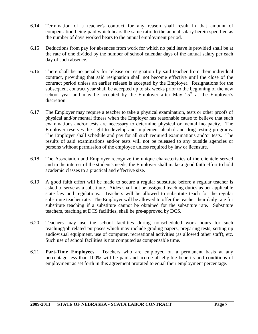- 6.14 Termination of a teacher's contract for any reason shall result in that amount of compensation being paid which bears the same ratio to the annual salary herein specified as the number of days worked bears to the annual employment period.
- 6.15 Deductions from pay for absences from work for which no paid leave is provided shall be at the rate of one divided by the number of school calendar days of the annual salary per each day of such absence.
- 6.16 There shall be no penalty for release or resignation by said teacher from their individual contract, providing that said resignation shall not become effective until the close of the contract period unless an earlier release is accepted by the Employer. Resignations for the subsequent contract year shall be accepted up to six weeks prior to the beginning of the new school year and may be accepted by the Employer after May  $15<sup>th</sup>$  at the Employer's discretion.
- 6.17 The Employer may require a teacher to take a physical examination, tests or other proofs of physical and/or mental fitness when the Employer has reasonable cause to believe that such examinations and/or tests are necessary to determine physical or mental incapacity. The Employer reserves the right to develop and implement alcohol and drug testing programs. The Employer shall schedule and pay for all such required examinations and/or tests. The results of said examinations and/or tests will not be released to any outside agencies or persons without permission of the employee unless required by law or licensure.
- 6.18 The Association and Employer recognize the unique characteristics of the clientele served and in the interest of the student's needs, the Employer shall make a good faith effort to hold academic classes to a practical and effective size.
- 6.19 A good faith effort will be made to secure a regular substitute before a regular teacher is asked to serve as a substitute. Aides shall not be assigned teaching duties as per applicable state law and regulations. Teachers will be allowed to substitute teach for the regular substitute teacher rate. The Employer will be allowed to offer the teacher their daily rate for substitute teaching if a substitute cannot be obtained for the substitute rate*.* Substitute teachers, teaching at DCS facilities, shall be pre-approved by DCS.
- 6.20 Teachers may use the school facilities during nonscheduled work hours for such teaching/job related purposes which may include grading papers, preparing tests, setting up audiovisual equipment, use of computer, recreational activities (as allowed other staff), etc. Such use of school facilities is not computed as compensable time.
- 6.21 **Part-Time Employees.** Teachers who are employed on a permanent basis at any percentage less than 100% will be paid and accrue all eligible benefits and conditions of employment as set forth in this agreement prorated to equal their employment percentage.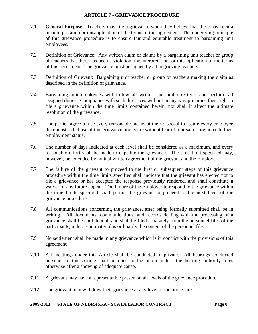## **ARTICLE 7 - GRIEVANCE PROCEDURE**

- 7.1 **General Purpose.** Teachers may file a grievance when they believe that there has been a misinterpretation or misapplication of the terms of this agreement. The underlying principle of this grievance procedure is to ensure fair and equitable treatment to bargaining unit employees.
- 7.2 Definition of Grievance: Any written claim or claims by a bargaining unit teacher or group of teachers that there has been a violation, misinterpretation, or misapplication of the terms of this agreement. The grievance must be signed by all aggrieving teachers.
- 7.3 Definition of Grievant: Bargaining unit teacher or group of teachers making the claim as described in the definition of grievance.
- 7.4 Bargaining unit employees will follow all written and oral directives and perform all assigned duties. Compliance with such directives will not in any way prejudice their right to file a grievance within the time limits contained herein, nor shall it affect the ultimate resolution of the grievance.
- 7.5 The parties agree to use every reasonable means at their disposal to assure every employee the unobstructed use of this grievance procedure without fear of reprisal or prejudice to their employment status.
- 7.6 The number of days indicated at each level shall be considered as a maximum, and every reasonable effort shall be made to expedite the grievance. The time limit specified may, however, be extended by mutual written agreement of the grievant and the Employer.
- 7.7 The failure of the grievant to proceed to the first or subsequent steps of this grievance procedure within the time limits specified shall indicate that the grievant has elected not to file a grievance or has accepted the response previously rendered, and shall constitute a waiver of any future appeal. The failure of the Employer to respond to the grievance within the time limits specified shall permit the grievant to proceed to the next level of the grievance procedure.
- 7.8 All communications concerning the grievance, after being formally submitted shall be in writing. All documents, communications, and records dealing with the processing of a grievance shall be confidential, and shall be filed separately from the personnel files of the participants, unless said material is ordinarily the content of the personnel file.
- 7.9 No settlement shall be made in any grievance which is in conflict with the provisions of this agreement.
- 7.10 All meetings under this Article shall be conducted in private. All hearings conducted pursuant to this Article shall be open to the public unless the hearing authority rules otherwise after a showing of adequate cause.
- 7.11 A grievant may have a representative present at all levels of the grievance procedure.
- 7.12 The grievant may withdraw their grievance at any level of the procedure.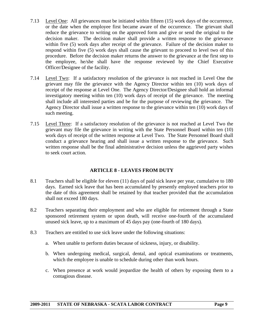- 7.13 Level One: All grievances must be initiated within fifteen (15) work days of the occurrence, or the date when the employee first became aware of the occurrence. The grievant shall reduce the grievance to writing on the approved form and give or send the original to the decision maker. The decision maker shall provide a written response to the grievance within five (5) work days after receipt of the grievance. Failure of the decision maker to respond within five (5) work days shall cause the grievant to proceed to level two of this procedure. Before the decision maker returns the answer to the grievance at the first step to the employee, he/she shall have the response reviewed by the Chief Executive Officer/Designee of the facility.
- 7.14 Level Two: If a satisfactory resolution of the grievance is not reached in Level One the grievant may file the grievance with the Agency Director within ten (10) work days of receipt of the response at Level One. The Agency Director/Designee shall hold an informal investigatory meeting within ten (10) work days of receipt of the grievance. The meeting shall include all interested parties and be for the purpose of reviewing the grievance. The Agency Director shall issue a written response to the grievance within ten (10) work days of such meeting.
- 7.15 Level Three: If a satisfactory resolution of the grievance is not reached at Level Two the grievant may file the grievance in writing with the State Personnel Board within ten (10) work days of receipt of the written response at Level Two. The State Personnel Board shall conduct a grievance hearing and shall issue a written response to the grievance. Such written response shall be the final administrative decision unless the aggrieved party wishes to seek court action.

## **ARTICLE 8 - LEAVES FROM DUTY**

- 8.1 Teachers shall be eligible for eleven (11) days of paid sick leave per year, cumulative to 180 days. Earned sick leave that has been accumulated by presently employed teachers prior to the date of this agreement shall be retained by that teacher provided that the accumulation shall not exceed 180 days.
- 8.2 Teachers separating their employment and who are eligible for retirement through a State sponsored retirement system or upon death, will receive one-fourth of the accumulated unused sick leave, up to a maximum of 45 days pay (one-fourth of 180 days).
- 8.3 Teachers are entitled to use sick leave under the following situations:
	- a. When unable to perform duties because of sickness, injury, or disability.
	- b. When undergoing medical, surgical, dental, and optical examinations or treatments, which the employee is unable to schedule during other than work hours.
	- c. When presence at work would jeopardize the health of others by exposing them to a contagious disease.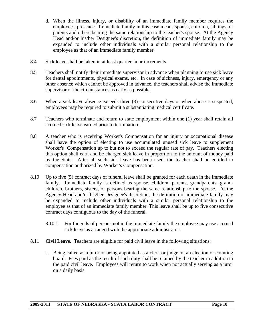- d. When the illness, injury, or disability of an immediate family member requires the employee's presence. Immediate family in this case means spouse, children, siblings, or parents and others bearing the same relationship to the teacher's spouse. At the Agency Head and/or his/her Designee's discretion, the definition of immediate family may be expanded to include other individuals with a similar personal relationship to the employee as that of an immediate family member.
- 8.4 Sick leave shall be taken in at least quarter-hour increments.
- 8.5 Teachers shall notify their immediate supervisor in advance when planning to use sick leave for dental appointments, physical exams, etc. In case of sickness, injury, emergency or any other absence which cannot be approved in advance, the teachers shall advise the immediate supervisor of the circumstances as early as possible.
- 8.6 When a sick leave absence exceeds three (3) consecutive days or when abuse is suspected, employees may be required to submit a substantiating medical certificate.
- 8.7 Teachers who terminate and return to state employment within one (1) year shall retain all accrued sick leave earned prior to termination.
- 8.8 A teacher who is receiving Worker's Compensation for an injury or occupational disease shall have the option of electing to use accumulated unused sick leave to supplement Worker's Compensation up to but not to exceed the regular rate of pay. Teachers electing this option shall earn and be charged sick leave in proportion to the amount of money paid by the State. After all such sick leave has been used, the teacher shall be entitled to compensation authorized by Worker's Compensation.
- 8.10 Up to five (5) contract days of funeral leave shall be granted for each death in the immediate family. Immediate family is defined as spouse, children, parents, grandparents, grandchildren, brothers, sisters, or persons bearing the same relationship to the spouse. At the Agency Head and/or his/her Designee's discretion, the definition of immediate family may be expanded to include other individuals with a similar personal relationship to the employee as that of an immediate family member. This leave shall be up to five consecutive contract days contiguous to the day of the funeral.
	- 8.10.1 For funerals of persons not in the immediate family the employee may use accrued sick leave as arranged with the appropriate administrator.
- 8.11 **Civil Leave.** Teachers are eligible for paid civil leave in the following situations:
	- a. Being called as a juror or being appointed as a clerk or judge on an election or counting board. Fees paid as the result of such duty shall be retained by the teacher in addition to the paid civil leave. Employees will return to work when not actually serving as a juror on a daily basis.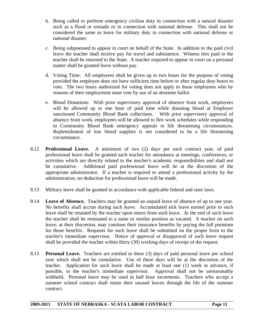- b. Being called to perform emergency civilian duty in connection with a natural disaster such as a flood or tornado or in connection with national defense. This shall not be considered the same as leave for military duty in connection with national defense or national disaster.
- c. Being subpoenaed to appear in court on behalf of the State. In addition to the paid civil leave the teacher shall receive pay for travel and subsistence. Witness fees paid to the teacher shall be returned to the State. A teacher required to appear in court on a personal matter shall be granted leave without pay.
- d. Voting Time: All employees shall be given up to two hours for the purpose of voting provided the employee does not have sufficient time before or after regular duty hours to vote. The two hours authorized for voting does not apply to those employees who by reasons of their employment must vote by use of an absentee ballot.
- e. Blood Donations: With prior supervisory approval of absence from work, employees will be allowed up to one hour of paid time while donating blood at Employer sanctioned Community Blood Bank collections. With prior supervisory approval of absence from work, employees will be allowed to flex work schedules while responding to Community Blood Bank emergency appeals in life threatening circumstances. Replenishment of low blood supplies is not considered to be a life threatening circumstance.
- 8.12 **Professional Leave.** A minimum of two (2) days per each contract year, of paid professional leave shall be granted each teacher for attendance at meetings, conferences, or activities which are directly related to the teacher's academic responsibilities and shall not be cumulative. Additional paid professional leave will be at the discretion of the appropriate administrator. If a teacher is required to attend a professional activity by the administration, no deduction for professional leave will be made.
- 8.13 Military leave shall be granted in accordance with applicable federal and state laws.
- 8.14 **Leave of Absence.** Teachers may be granted an unpaid leave of absence of up to one year. No benefits shall accrue during such leave. Accumulated sick leave earned prior to such leave shall be retained by the teacher upon return from such leave. At the end of such leave the teacher shall be reinstated to a same or similar position as vacated. A teacher on such leave, at their discretion, may continue their insurance benefits by paying the full premium for those benefits. Requests for such leave shall be submitted on the proper form to the teacher's immediate supervisor. Notice of approval or disapproval of such leave request shall be provided the teacher within thirty (30) working days of receipt of the request.
- 8.15 **Personal Leave.** Teachers are entitled to three (3) days of paid personal leave per school year which shall not be cumulative. Use of these days will be at the discretion of the teacher. Application for such leave shall be made at least one (1) week in advance, if possible, to the teacher's immediate supervisor. Approval shall not be unreasonably withheld. Personal leave may be used in half hour increments. Teachers who accept a summer school contract shall retain their unused leaves through the life of the summer contract.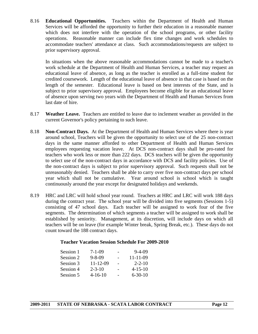8.16 **Educational Opportunities.** Teachers within the Department of Health and Human Services will be afforded the opportunity to further their education in a reasonable manner which does not interfere with the operation of the school programs, or other facility operations. Reasonable manner can include flex time changes and work schedules to accommodate teachers' attendance at class. Such accommodations/requests are subject to prior supervisory approval.

 In situations when the above reasonable accommodations cannot be made to a teacher's work schedule at the Department of Health and Human Services, a teacher may request an educational leave of absence, as long as the teacher is enrolled as a full-time student for credited coursework. Length of the educational leave of absence in that case is based on the length of the semester. Educational leave is based on best interests of the State, and is subject to prior supervisory approval. Employees become eligible for an educational leave of absence upon serving two years with the Department of Health and Human Services from last date of hire.

- 8.17 **Weather Leave.** Teachers are entitled to leave due to inclement weather as provided in the current Governor's policy pertaining to such leave.
- 8.18 **Non-Contract Days.** At the Department of Health and Human Services where there is year around school, Teachers will be given the opportunity to select use of the 25 non-contract days in the same manner afforded to other Department of Health and Human Services employees requesting vacation leave. At DCS non-contract days shall be pro-rated for teachers who work less or more than 222 days. DCS teachers will be given the opportunity to select use of the non-contract days in accordance with DCS and facility policies. Use of the non-contract days is subject to prior supervisory approval. Such requests shall not be unreasonably denied. Teachers shall be able to carry over five non-contract days per school year which shall not be cumulative. Year around school is school which is taught continuously around the year except for designated holidays and weekends.
- 8.19 HRC and LRC will hold school year round. Teachers at HRC and LRC will work 188 days during the contract year. The school year will be divided into five segments (Sessions 1-5) consisting of 47 school days. Each teacher will be assigned to work four of the five segments. The determination of which segments a teacher will be assigned to work shall be established by seniority. Management, at its discretion, will include days on which all teachers will be on leave (for example Winter break, Spring Break, etc.). These days do not count toward the 188 contract days.

#### **Teacher Vacation Session Schedule For 2009-2010**

| Session 1 | $7-1-09$       | $9-4-09$       |
|-----------|----------------|----------------|
| Session 2 | $9 - 8 - 09$   | $11 - 11 - 09$ |
| Session 3 | $11 - 12 - 09$ | $2 - 2 - 10$   |
| Session 4 | $2 - 3 - 10$   | $4 - 15 - 10$  |
| Session 5 | $4 - 16 - 10$  | $6 - 30 - 10$  |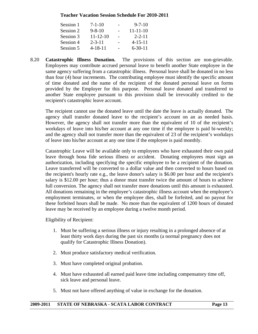#### **Teacher Vacation Session Schedule For 2010-2011**

| Session 1 | $7 - 1 - 10$   | $9 - 7 - 10$   |
|-----------|----------------|----------------|
| Session 2 | $9 - 8 - 10$   | $11 - 11 - 10$ |
| Session 3 | $11 - 12 - 10$ | $2 - 2 - 11$   |
| Session 4 | $2 - 3 - 11$   | $4 - 15 - 11$  |
| Session 5 | $4 - 18 - 11$  | $6 - 30 - 11$  |

8.20 **Catastrophic Illness Donation.** The provisions of this section are non-grievable. Employees may contribute accrued personal leave to benefit another State employee in the same agency suffering from a catastrophic illness. Personal leave shall be donated in no less than four (4) hour increments. The contributing employee must identify the specific amount of time donated and the name of the recipient of the donated personal leave on forms provided by the Employer for this purpose. Personal leave donated and transferred to another State employee pursuant to this provision shall be irrevocably credited to the recipient's catastrophic leave account.

 The recipient cannot use the donated leave until the date the leave is actually donated. The agency shall transfer donated leave to the recipient's account on an as needed basis. However, the agency shall not transfer more than the equivalent of 10 of the recipient's workdays of leave into his/her account at any one time if the employee is paid bi-weekly; and the agency shall not transfer more than the equivalent of 23 of the recipient's workdays of leave into his/her account at any one time if the employee is paid monthly.

 Catastrophic Leave will be available only to employees who have exhausted their own paid leave through bona fide serious illness or accident. Donating employees must sign an authorization, including specifying the specific employee to be a recipient of the donation. Leave transferred will be converted to a dollar value and then converted to hours based on the recipient's hourly rate e.g., the leave donor's salary is \$6.00 per hour and the recipient's salary is \$12.00 per hour; thus a donor must transfer twice the amount of hours to achieve full conversion. The agency shall not transfer more donations until this amount is exhausted. All donations remaining in the employee's catastrophic illness account when the employee's employment terminates, or when the employee dies, shall be forfeited, and no payout for these forfeited hours shall be made. No more than the equivalent of 1200 hours of donated leave may be received by an employee during a twelve month period.

Eligibility of Recipient:

- 1. Must be suffering a serious illness or injury resulting in a prolonged absence of at least thirty work days during the past six months (a normal pregnancy does not qualify for Catastrophic Illness Donation).
- 2. Must produce satisfactory medical verification.
- 3. Must have completed original probation.
- 4. Must have exhausted all earned paid leave time including compensatory time off, sick leave and personal leave.
- 5. Must not have offered anything of value in exchange for the donation.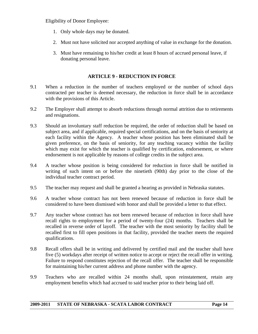Eligibility of Donor Employee:

- 1. Only whole days may be donated.
- 2. Must not have solicited nor accepted anything of value in exchange for the donation.
- 3. Must have remaining to his/her credit at least 8 hours of accrued personal leave, if donating personal leave.

#### **ARTICLE 9 - REDUCTION IN FORCE**

- 9.1 When a reduction in the number of teachers employed or the number of school days contracted per teacher is deemed necessary, the reduction in force shall be in accordance with the provisions of this Article.
- 9.2 The Employer shall attempt to absorb reductions through normal attrition due to retirements and resignations.
- 9.3 Should an involuntary staff reduction be required, the order of reduction shall be based on subject area, and if applicable, required special certifications, and on the basis of seniority at each facility within the Agency. A teacher whose position has been eliminated shall be given preference, on the basis of seniority, for any teaching vacancy within the facility which may exist for which the teacher is qualified by certification, endorsement, or where endorsement is not applicable by reasons of college credits in the subject area.
- 9.4 A teacher whose position is being considered for reduction in force shall be notified in writing of such intent on or before the ninetieth (90th) day prior to the close of the individual teacher contract period.
- 9.5 The teacher may request and shall be granted a hearing as provided in Nebraska statutes.
- 9.6 A teacher whose contract has not been renewed because of reduction in force shall be considered to have been dismissed with honor and shall be provided a letter to that effect.
- 9.7 Any teacher whose contract has not been renewed because of reduction in force shall have recall rights to employment for a period of twenty-four (24) months. Teachers shall be recalled in reverse order of layoff. The teacher with the most seniority by facility shall be recalled first to fill open positions in that facility, provided the teacher meets the required qualifications.
- 9.8 Recall offers shall be in writing and delivered by certified mail and the teacher shall have five (5) workdays after receipt of written notice to accept or reject the recall offer in writing. Failure to respond constitutes rejection of the recall offer. The teacher shall be responsible for maintaining his/her current address and phone number with the agency.
- 9.9 Teachers who are recalled within 24 months shall, upon reinstatement, retain any employment benefits which had accrued to said teacher prior to their being laid off.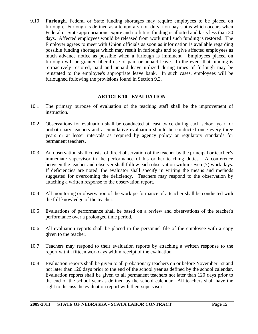9.10 **Furlough.** Federal or State funding shortages may require employees to be placed on furlough. Furlough is defined as a temporary non-duty, non-pay status which occurs when Federal or State appropriations expire and no future funding is allotted and lasts less than 30 days. Affected employees would be released from work until such funding is restored. The Employer agrees to meet with Union officials as soon as information is available regarding possible funding shortages which may result in furloughs and to give affected employees as much advance notice as possible when a furlough is imminent. Employees placed on furlough will be granted liberal use of paid or unpaid leave. In the event that funding is retroactively restored, paid and unpaid leave utilized during times of furlough may be reinstated to the employee's appropriate leave bank. In such cases, employees will be furloughed following the provisions found in Section 9.3.

#### **ARTICLE 10 - EVALUATION**

- 10.1 The primary purpose of evaluation of the teaching staff shall be the improvement of instruction.
- 10.2 Observations for evaluation shall be conducted at least twice during each school year for probationary teachers and a cumulative evaluation should be conducted once every three years or at lesser intervals as required by agency policy or regulatory standards for permanent teachers.
- 10.3 An observation shall consist of direct observation of the teacher by the principal or teacher's immediate supervisor in the performance of his or her teaching duties. A conference between the teacher and observer shall follow each observation within seven (7) work days. If deficiencies are noted, the evaluator shall specify in writing the means and methods suggested for overcoming the deficiency. Teachers may respond to the observation by attaching a written response to the observation report.
- 10.4 All monitoring or observation of the work performance of a teacher shall be conducted with the full knowledge of the teacher.
- 10.5 Evaluations of performance shall be based on a review and observations of the teacher's performance over a prolonged time period.
- 10.6 All evaluation reports shall be placed in the personnel file of the employee with a copy given to the teacher.
- 10.7 Teachers may respond to their evaluation reports by attaching a written response to the report within fifteen workdays within receipt of the evaluation.
- 10.8 Evaluation reports shall be given to all probationary teachers on or before November 1st and not later than 120 days prior to the end of the school year as defined by the school calendar. Evaluation reports shall be given to all permanent teachers not later than 120 days prior to the end of the school year as defined by the school calendar. All teachers shall have the right to discuss the evaluation report with their supervisor.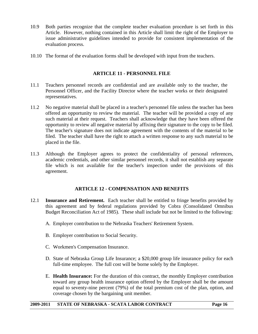- 10.9 Both parties recognize that the complete teacher evaluation procedure is set forth in this Article. However, nothing contained in this Article shall limit the right of the Employer to issue administrative guidelines intended to provide for consistent implementation of the evaluation process.
- 10.10 The format of the evaluation forms shall be developed with input from the teachers.

# **ARTICLE 11 - PERSONNEL FILE**

- 11.1 Teachers personnel records are confidential and are available only to the teacher, the Personnel Officer, and the Facility Director where the teacher works or their designated representatives.
- 11.2 No negative material shall be placed in a teacher's personnel file unless the teacher has been offered an opportunity to review the material. The teacher will be provided a copy of any such material at their request. Teachers shall acknowledge that they have been offered the opportunity to review all negative material by affixing their signature to the copy to be filed. The teacher's signature does not indicate agreement with the contents of the material to be filed. The teacher shall have the right to attach a written response to any such material to be placed in the file.
- 11.3 Although the Employer agrees to protect the confidentiality of personal references, academic credentials, and other similar personnel records, it shall not establish any separate file which is not available for the teacher's inspection under the provisions of this agreement.

## **ARTICLE 12 - COMPENSATION AND BENEFITS**

- 12.1 **Insurance and Retirement.** Each teacher shall be entitled to fringe benefits provided by this agreement and by federal regulations provided by Cobra (Consolidated Omnibus Budget Reconciliation Act of 1985). These shall include but not be limited to the following:
	- A. Employer contribution to the Nebraska Teachers' Retirement System.
	- B. Employer contribution to Social Security.
	- C. Workmen's Compensation Insurance.
	- D. State of Nebraska Group Life Insurance; a \$20,000 group life insurance policy for each full-time employee. The full cost will be borne solely by the Employer.
	- E. **Health Insurance:** For the duration of this contract, the monthly Employer contribution toward any group health insurance option offered by the Employer shall be the amount equal to seventy-nine percent (79%) of the total premium cost of the plan, option, and coverage chosen by the bargaining unit member.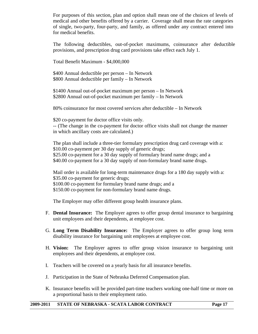For purposes of this section, plan and option shall mean one of the choices of levels of medical and other benefits offered by a carrier. Coverage shall mean the rate categories of single, two-party, four-party, and family, as offered under any contract entered into for medical benefits.

 The following deductibles, out-of-pocket maximums, coinsurance after deductible provisions, and prescription drug card provisions take effect each July 1.

Total Benefit Maximum - \$4,000,000

\$400 Annual deductible per person – In Network \$800 Annual deductible per family – In Network

\$1400 Annual out-of-pocket maximum per person – In Network \$2800 Annual out-of-pocket maximum per family – In Network

80% coinsurance for most covered services after deductible – In Network

\$20 co-payment for doctor office visits only. -- (The change in the co-payment for doctor office visits shall not change the manner in which ancillary costs are calculated.)

 The plan shall include a three-tier formulary prescription drug card coverage with a: \$10.00 co-payment per 30 day supply of generic drugs; \$25.00 co-payment for a 30 day supply of formulary brand name drugs; and a \$40.00 co-payment for a 30 day supply of non-formulary brand name drugs.

Mail order is available for long-term maintenance drugs for a 180 day supply with a: \$35.00 co-payment for generic drugs; \$100.00 co-payment for formulary brand name drugs; and a \$150.00 co-payment for non-formulary brand name drugs.

The Employer may offer different group health insurance plans.

- F. **Dental Insurance:** The Employer agrees to offer group dental insurance to bargaining unit employees and their dependents, at employee cost.
- G. **Long Term Disability Insurance:** The Employer agrees to offer group long term disability insurance for bargaining unit employees at employee cost.
- H. **Vision:** The Employer agrees to offer group vision insurance to bargaining unit employees and their dependents, at employee cost.
- I. Teachers will be covered on a yearly basis for all insurance benefits.
- J. Participation in the State of Nebraska Deferred Compensation plan.
- K. Insurance benefits will be provided part-time teachers working one-half time or more on a proportional basis to their employment ratio.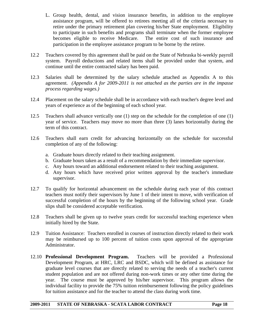- L. Group health, dental, and vision insurance benefits, in addition to the employee assistance program, will be offered to retirees meeting all of the criteria necessary to retire under the primary retirement plan covering his/her State employment. Eligibility to participate in such benefits and programs shall terminate when the former employee becomes eligible to receive Medicare. The entire cost of such insurance and participation in the employee assistance program to be borne by the retiree.
- 12.2 Teachers covered by this agreement shall be paid on the State of Nebraska bi-weekly payroll system. Payroll deductions and related items shall be provided under that system, and continue until the entire contracted salary has been paid.
- 12.3 Salaries shall be determined by the salary schedule attached as Appendix A to this agreement. *(Appendix A for 2009-2011 is not attached as the parties are in the impasse process regarding wages.)*
- 12.4 Placement on the salary schedule shall be in accordance with each teacher's degree level and years of experience as of the beginning of each school year.
- 12.5 Teachers shall advance vertically one (1) step on the schedule for the completion of one (1) year of service. Teachers may move no more than three (3) lanes horizontally during the term of this contract.
- 12.6 Teachers shall earn credit for advancing horizontally on the schedule for successful completion of any of the following:
	- a. Graduate hours directly related to their teaching assignment.
	- b. Graduate hours taken as a result of a recommendation by their immediate supervisor.
	- c. Any hours toward an additional endorsement related to their teaching assignment.
	- d. Any hours which have received prior written approval by the teacher's immediate supervisor.
- 12.7 To qualify for horizontal advancement on the schedule during each year of this contract teachers must notify their supervisors by June 1 of their intent to move, with verification of successful completion of the hours by the beginning of the following school year. Grade slips shall be considered acceptable verification.
- 12.8 Teachers shall be given up to twelve years credit for successful teaching experience when initially hired by the State.
- 12.9 Tuition Assistance: Teachers enrolled in courses of instruction directly related to their work may be reimbursed up to 100 percent of tuition costs upon approval of the appropriate Administrator.
- 12.10 **Professional Development Program.** Teachers will be provided a Professional Development Program, at HRC, LRC and BSDC, which will be defined as assistance for graduate level courses that are directly related to serving the needs of a teacher's current student population and are not offered during non-work times or any other time during the year. The course must be approved by his/her supervisor. This program allows the individual facility to provide the 75% tuition reimbursement following the policy guidelines for tuition assistance and for the teacher to attend the class during work time.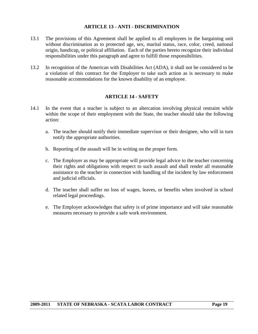#### **ARTICLE 13 - ANTI - DISCRIMINATION**

- 13.1 The provisions of this Agreement shall be applied to all employees in the bargaining unit without discrimination as to protected age, sex, marital status, race, color, creed, national origin, handicap, or political affiliation. Each of the parties hereto recognize their individual responsibilities under this paragraph and agree to fulfill those responsibilities.
- 13.2 In recognition of the American with Disabilities Act (ADA), it shall not be considered to be a violation of this contract for the Employer to take such action as is necessary to make reasonable accommodations for the known disability of an employee.

#### **ARTICLE 14 - SAFETY**

- 14.1 In the event that a teacher is subject to an altercation involving physical restraint while within the scope of their employment with the State, the teacher should take the following action:
	- a. The teacher should notify their immediate supervisor or their designee, who will in turn notify the appropriate authorities.
	- b. Reporting of the assault will be in writing on the proper form.
	- c. The Employer as may be appropriate will provide legal advice to the teacher concerning their rights and obligations with respect to such assault and shall render all reasonable assistance to the teacher in connection with handling of the incident by law enforcement and judicial officials.
	- d. The teacher shall suffer no loss of wages, leaves, or benefits when involved in school related legal proceedings.
	- e. The Employer acknowledges that safety is of prime importance and will take reasonable measures necessary to provide a safe work environment.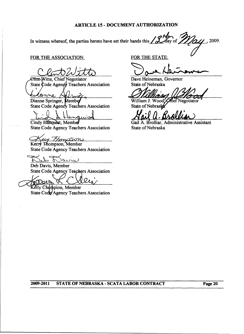#### ARTICLE 15 - DOCUMENT AUTHORIZATION

In witness whereof, the parties hereto have set their hands this  $\frac{\partial}{\partial u}$  of  $\frac{\partial}{\partial u}$ , 2009.

#### FOR THE ASSOCIATION:

Clint Witte, Chief Negotiator State Code Agency Teachers Association

lanne rnee Dianne Springer, Member

State Code Agency Teachers Association

Cindy Hannulst, Member **State Code Agency Teachers Association** 

<u>Aley Thomason</u>

**State Code Agency Teachers Association** 

 $L -$ بمحبحه

Deb Davis, Member State Code Agency Teachers Association

les Kelly Champion, Member

State Code Agency Teachers Association

FOR THE STATE:

Dave Heineman, Governor State of Nebraska

William 1. Wood **Mief Negotiator** State of Nebrask

Gail A. Brolliar, Administrative Assistant State of Nebraska

#### 2009-2011 STATE OF NEBRASKA - SCATA LABOR CONTRACT Page 20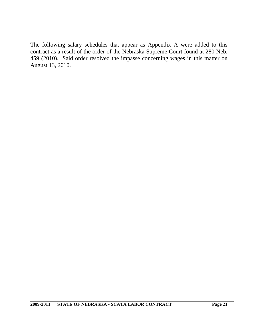The following salary schedules that appear as Appendix A were added to this contract as a result of the order of the Nebraska Supreme Court found at 280 Neb. 459 (2010). Said order resolved the impasse concerning wages in this matter on August 13, 2010.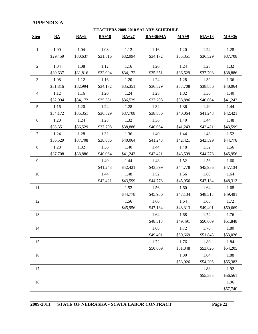# **APPENDIX A**

|                | <b>TEACHERS 2009-2010 SALARY SCHEDULE</b> |          |          |          |            |          |          |          |  |
|----------------|-------------------------------------------|----------|----------|----------|------------|----------|----------|----------|--|
| <b>Step</b>    | $\underline{\mathbf{BA}}$                 | $BA+9$   | $BA+18$  | $BA+27$  | $BA+36/MA$ | $MA+9$   | $MA+18$  | $MA+36$  |  |
| $\mathbf{1}$   | 1.00                                      | 1.04     | 1.08     | 1.12     | 1.16       | 1.20     | 1.24     | 1.28     |  |
|                | \$29,459                                  | \$30,637 | \$31,816 | \$32,994 | \$34,172   | \$35,351 | \$36,529 | \$37,708 |  |
| $\overline{2}$ | 1.04                                      | 1.08     | 1.12     | 1.16     | 1.20       | 1.24     | 1.28     | 1.32     |  |
|                | \$30,637                                  | \$31,816 | \$32,994 | \$34,172 | \$35,351   | \$36,529 | \$37,708 | \$38,886 |  |
| 3              | 1.08                                      | 1.12     | 1.16     | 1.20     | 1.24       | 1.28     | 1.32     | 1.36     |  |
|                | \$31,816                                  | \$32,994 | \$34,172 | \$35,351 | \$36,529   | \$37,708 | \$38,886 | \$40,064 |  |
| 4              | 1.12                                      | 1.16     | 1.20     | 1.24     | 1.28       | 1.32     | 1.36     | 1.40     |  |
|                | \$32,994                                  | \$34,172 | \$35,351 | \$36,529 | \$37,708   | \$38,886 | \$40,064 | \$41,243 |  |
| 5              | 1.16                                      | 1.20     | 1.24     | 1.28     | 1.32       | 1.36     | 1.40     | 1.44     |  |
|                | \$34,172                                  | \$35,351 | \$36,529 | \$37,708 | \$38,886   | \$40,064 | \$41,243 | \$42,421 |  |
| 6              | 1.20                                      | 1.24     | 1.28     | 1.32     | 1.36       | 1.40     | 1.44     | 1.48     |  |
|                | \$35,351                                  | \$36,529 | \$37,708 | \$38,886 | \$40,064   | \$41,243 | \$42,421 | \$43,599 |  |
| $\tau$         | 1.24                                      | 1.28     | 1.32     | 1.36     | 1.40       | 1.44     | 1.48     | 1.52     |  |
|                | \$36,529                                  | \$37,708 | \$38,886 | \$40,064 | \$41,243   | \$42,421 | \$43,599 | \$44,778 |  |
| $\,8\,$        | 1.28                                      | 1.32     | 1.36     | 1.40     | 1.44       | 1.48     | 1.52     | 1.56     |  |
|                | \$37,708                                  | \$38,886 | \$40,064 | \$41,243 | \$42,421   | \$43,599 | \$44,778 | \$45,956 |  |
| 9              |                                           |          | 1.40     | 1.44     | 1.48       | 1.52     | 1.56     | 1.60     |  |
|                |                                           |          | \$41,243 | \$42,421 | \$43,599   | \$44,778 | \$45,956 | \$47,134 |  |
| 10             |                                           |          | 1.44     | 1.48     | 1.52       | 1.56     | 1.60     | 1.64     |  |
|                |                                           |          | \$42,421 | \$43,599 | \$44,778   | \$45,956 | \$47,134 | \$48,313 |  |
| 11             |                                           |          |          | 1.52     | 1.56       | 1.60     | 1.64     | 1.68     |  |
|                |                                           |          |          | \$44,778 | \$45,956   | \$47,134 | \$48,313 | \$49,491 |  |
| 12             |                                           |          |          | 1.56     | 1.60       | 1.64     | 1.68     | 1.72     |  |
|                |                                           |          |          | \$45,956 | \$47,134   | \$48,313 | \$49,491 | \$50,669 |  |
| 13             |                                           |          |          |          | 1.64       | 1.68     | 1.72     | 1.76     |  |
|                |                                           |          |          |          | \$48,313   | \$49,491 | \$50,669 | \$51,848 |  |
| 14             |                                           |          |          |          | 1.68       | 1.72     | 1.76     | 1.80     |  |
|                |                                           |          |          |          | \$49,491   | \$50,669 | \$51,848 | \$53,026 |  |
| 15             |                                           |          |          |          | 1.72       | 1.76     | 1.80     | 1.84     |  |
|                |                                           |          |          |          | \$50,669   | \$51,848 | \$53,026 | \$54,205 |  |
| 16             |                                           |          |          |          |            | 1.80     | 1.84     | 1.88     |  |
|                |                                           |          |          |          |            | \$53,026 | \$54,205 | \$55,383 |  |
| 17             |                                           |          |          |          |            |          | 1.88     | 1.92     |  |
|                |                                           |          |          |          |            |          | \$55,383 | \$56,561 |  |
| 18             |                                           |          |          |          |            |          |          | 1.96     |  |
|                |                                           |          |          |          |            |          |          | \$57,740 |  |

|  | 2009-2011 STATE OF NEBRASKA - SCATA LABOR CONTRACT | Page 22 |
|--|----------------------------------------------------|---------|
|--|----------------------------------------------------|---------|